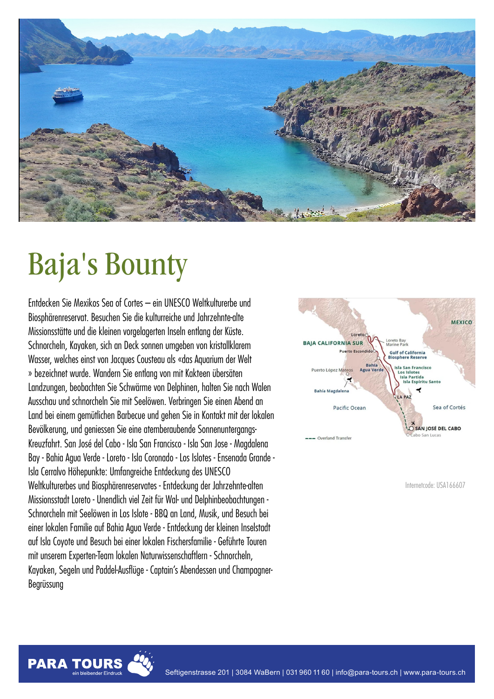

# Baja's Bounty

Entdecken Sie Mexikos Sea of Cortes – ein UNESCO Weltkulturerbe und Biosphärenreservat. Besuchen Sie die kulturreiche und Jahrzehnte-alte Missionsstätte und die kleinen vorgelagerten Inseln entlang der Küste. Schnorcheln, Kayaken, sich an Deck sonnen umgeben von kristallklarem Wasser, welches einst von Jacques Cousteau als «das Aquarium der Welt » bezeichnet wurde. Wandern Sie entlang von mit Kakteen übersäten Landzungen, beobachten Sie Schwärme von Delphinen, halten Sie nach Walen Ausschau und schnorcheln Sie mit Seelöwen. Verbringen Sie einen Abend an Land bei einem gemütlichen Barbecue und gehen Sie in Kontakt mit der lokalen Bevölkerung, und geniessen Sie eine atemberaubende Sonnenuntergangs-Kreuzfahrt. San José del Cabo - Isla San Francisco - Isla San Jose - Magdalena Bay - Bahia Agua Verde - Loreto - Isla Coronado - Los Islotes - Ensenada Grande - Isla Cerralvo Höhepunkte: Umfangreiche Entdeckung des UNESCO Weltkulturerbes und Biosphärenreservates - Entdeckung der Jahrzehnte-alten Missionsstadt Loreto - Unendlich viel Zeit für Wal- und Delphinbeobachtungen - Schnorcheln mit Seelöwen in Los Islote - BBQ an Land, Musik, und Besuch bei einer lokalen Familie auf Bahia Agua Verde - Entdeckung der kleinen Inselstadt auf Isla Coyote und Besuch bei einer lokalen Fischersfamilie - Geführte Touren mit unserem Experten-Team lokalen Naturwissenschaftlern - Schnorcheln, Kayaken, Segeln und Paddel-Ausflüge - Captain's Abendessen und Champagner-Begrüssung



Internetcode: USA166607

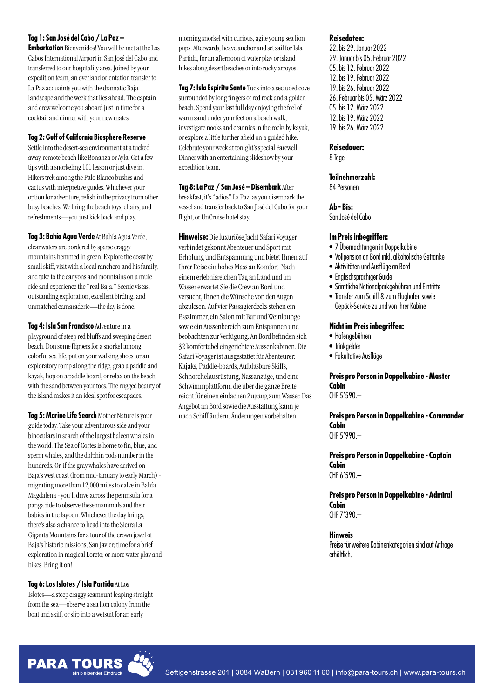## **Tag 1: San José del Cabo / La Paz –**

**Embarkation** Bienvenidos! You will be met at the Los Cabos International Airport in San José del Cabo and transferred to our hospitality area. Joined by your expedition team, an overland orientation transfer to La Paz acquaints you with the dramatic Baja landscape and the week that lies ahead. The captain and crew welcome you aboard just in time for a cocktail and dinner with your new mates.

## **Tag 2: Gulf of California Biosphere Reserve**

Settle into the desert-sea environment at a tucked away, remote beach like Bonanza or Ayla. Get a few tips with a snorkeling 101 lesson or just dive in. Hikers trek among the Palo Blanco bushes and cactus with interpretive guides. Whichever your option for adventure, relish in the privacy from other busy beaches. We bring the beach toys, chairs, and refreshments—you just kick back and play.

**Tag 3: Bahía Agua Verde** At Bahía Agua Verde, clear waters are bordered by sparse craggy mountains hemmed in green. Explore the coast by small skiff, visit with a local ranchero and his family, and take to the canyons and mountains on a mule ride and experience the "real Baja." Scenic vistas, outstanding exploration, excellent birding, and unmatched camaraderie—the day is done.

**Tag 4: Isla San Francisco** Adventurein a playground of steep red bluffs and sweeping desert beach. Don some flippers for a snorkel among colorful sea life, put on your walking shoes for an exploratory romp along the ridge, grab a paddle and kayak, hop on a paddle board, or relax on the beach with the sand between your toes. The rugged beauty of the island makes it an ideal spot for escapades.

**Tag 5: Marine Life Search Mother Nature is your** guide today. Take your adventurous side and your binoculars in search of thelargestbaleen whales in the world. The Sea of Cortes is home to fin, blue, and sperm whales, and the dolphin pods number in the hundreds. Or, if the gray whales have arrived on Baja's west coast (from mid-January to early March) migrating more than 12,000 miles to calve in Bahía Magdalena - you'll drive across the peninsula for a panga ride to observe these mammals and their babies in the lagoon. Whichever the day brings, there's also a chance to head into the Sierra La Giganta Mountains for a tour of the crown jewel of Baja's historic missions, San Javier; time for a brief exploration in magical Loreto; or more water play and hikes. Bring it on!

## **Tag 6:LosIslotes / Isla Partida** AtLos

Islotes—asteepcraggyseamount leapingstraight from the sea-observe a sea lion colony from the boat and skiff, or slip into a wetsuit for an early

morning snorkel with curious, agile young sea lion pups. Afterwards, heave anchor and set sail for Isla Partida, for an afternoon of water play or island hikes along desert beaches or into rocky arroyos.

**Tag 7: Isla Espíritu Santo** Tuck into a secluded cove surrounded by long fingers of red rock and a golden beach. Spend your last full day enjoying the feel of warm sand under your feet on a beach walk, investigate nooks and crannies in the rocks by kayak, orexplorealittlefurtherafieldon aguided hike. Celebrate your week at tonight's special Farewell Dinner with an entertaining slideshow by your expedition team.

**Tag 8:La Paz / San José – Disembark** After breakfast, it's "adios" La Paz, as you disembark the vessel and transfer back to San José del Cabo for your flight, or UnCruise hotel stay.

**Hinweise:** Die luxuriöse Jacht Safari Voyager verbindet gekonnt Abenteuer und Sport mit Erholung und Entspannung undbietet Ihnen auf Ihrer Reise ein hohes Mass an Komfort. Nach einemerlebnisreichen Tagan Land undim Wasser erwartet Sie die Crew an Bord und versucht, Ihnen dieWünschevon den Augen abzulesen.Aufvier Passagierdecks stehen ein Esszimmer, ein Salon mit Bar und Weinlounge sowieein Aussenbereich zumEntspannen und beobachten zur Verfügung. An Bord befinden sich 32 komfortabel eingerichtete Aussenkabinen. Die Safari Voyager ist ausgestattet für Abenteurer: Kajaks, Paddle-boards, Aufblasbare Skiffs, Schnorchelausrüstung, Nassanzüge, undeine Schwimmplattform, die über die ganze Breite reicht füreinen einfachen ZugangzumWasser. Das Angebot an Bord sowie die Ausstattung kann je nach Schiffändern.Änderungen vorbehalten.

## **Reisedaten:**

22.bis 29. Januar 2022 29. Januar bis 05. Februar 2022 05.bis 12.Februar 2022 12.bis 19.Februar 2022 19.bis 26.Februar 2022 26. Februar bis 05. März 2022 05.bis 12. März 2022 12.bis 19. März 2022 19.bis 26. März 2022

#### **Reisedauer:**

8 Tage

## **Teilnehmerzahl:**

84 Personen

#### **Ab - Bis:**

San José del Cabo

## **ImPreisinbegriffen:**

- 7 Übernachtungen in Doppelkabine
- Vollpension an Bord inkl. alkoholische Getränke
- Aktivitäten und Ausflüge an Bord
- Englischsprachiger Guide
- Sämtliche Nationalparkgebühren und Eintritte
- Transferzum Schiff & zum Flughafensowie Gepäck-Service zu und von Ihrer Kabine

## **NichtimPreisinbegriffen:**

- Hafengebühren
- Trinkgelder
- Fakultative Ausflüge

### **Preis pro Person in Doppelkabine -Master Cabin** CHF 5'590.–

**Preis pro Person in Doppelkabine - Commander Cabin** CHF 5'990.–

**Preis pro Person in Doppelkabine - Captain Cabin** CHF 6'590.–

**Preis pro Person in Doppelkabine - Admiral Cabin** CHF 7'390.–

#### **Hinweis**

Preise für weitere Kabinenkategorien sind auf Anfrage erhältlich.